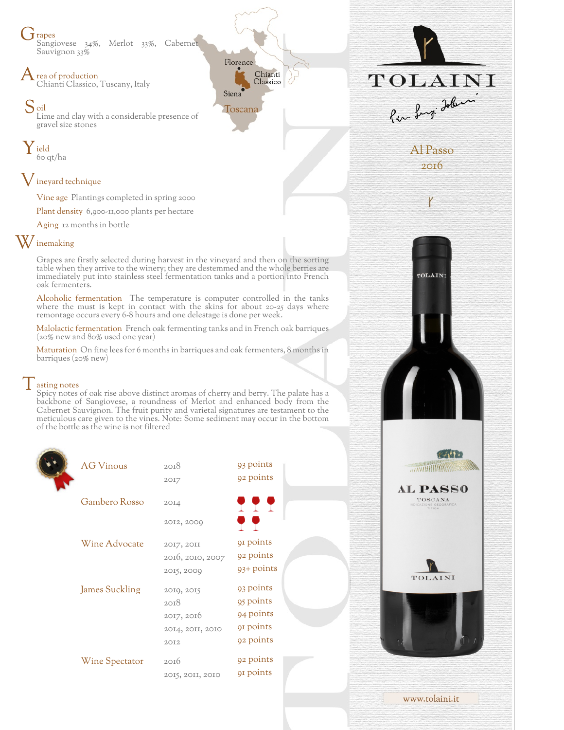**J** rapes Sangiovese 34%, Merlot 33%, Cabernet Sauvignon 33%

rea of production Chianti Classico, Tuscany, Italy

Soil Lime and clay with a considerable presence of gravel size stones

Y ield 60 qt/ha

## Vineyard technique

Vine age Plantings completed in spring 2000

Plant density 6,900-11,000 plants per hectare

Aging 12 months in bottle

## W inemaking

Grapes are firstly selected during harvest in the vineyard and then on the sorting table when they arrive to the winery; they are destemmed and the whole berries are immediately put into stainless steel fermentation tanks and a portion into French oak fermenters.

Florence

Toscana

Siena

Chianti

Classico

Alcoholic fermentation The temperature is computer controlled in the tanks where the must is kept in contact with the skins for about 20-25 days where remontage occurs every 6-8 hours and one delestage is done per week.

Malolactic fermentation French oak fermenting tanks and in French oak barriques (20% new and 80% used one year)

Maturation On fine lees for 6 months in barriques and oak fermenters, 8 months in barriques (20% new)

## $\vert$  asting notes

Spicy notes of oak rise above distinct aromas of cherry and berry. The palate has a backbone of Sangiovese, a roundness of Merlot and enhanced body from the Cabernet Sauvignon. The fruit purity and varietal signatures are testament to the meticulous care given to the vines. Note: Some sediment may occur in the bottom of the bottle as the wine is not filtered

| <b>AG Vinous</b>      | 2018<br>2017                                                 | 93 points<br>92 points                                        |  |
|-----------------------|--------------------------------------------------------------|---------------------------------------------------------------|--|
| Gambero Rosso         | 20I4                                                         | <b>TTT</b>                                                    |  |
|                       | 2012, 2009                                                   | ? ?                                                           |  |
| Wine Advocate         | 2017, 2011<br>2016, 2010, 2007<br>2015, 2009                 | 91 points<br>92 points<br>93+ points                          |  |
| <b>James Suckling</b> | 2019, 2015<br>2018<br>2017, 2016<br>20I4, 20II, 20I0<br>2012 | 93 points<br>95 points<br>94 points<br>91 points<br>92 points |  |
| Wine Spectator        | 2016<br>2015, 2011, 2010                                     | 92 points<br>91 points                                        |  |



TOLAINI

化丙烯酸

*<u>RATHER WINDOWS</u>* 

**AL PASS0** TOSCANA

TOLAINI